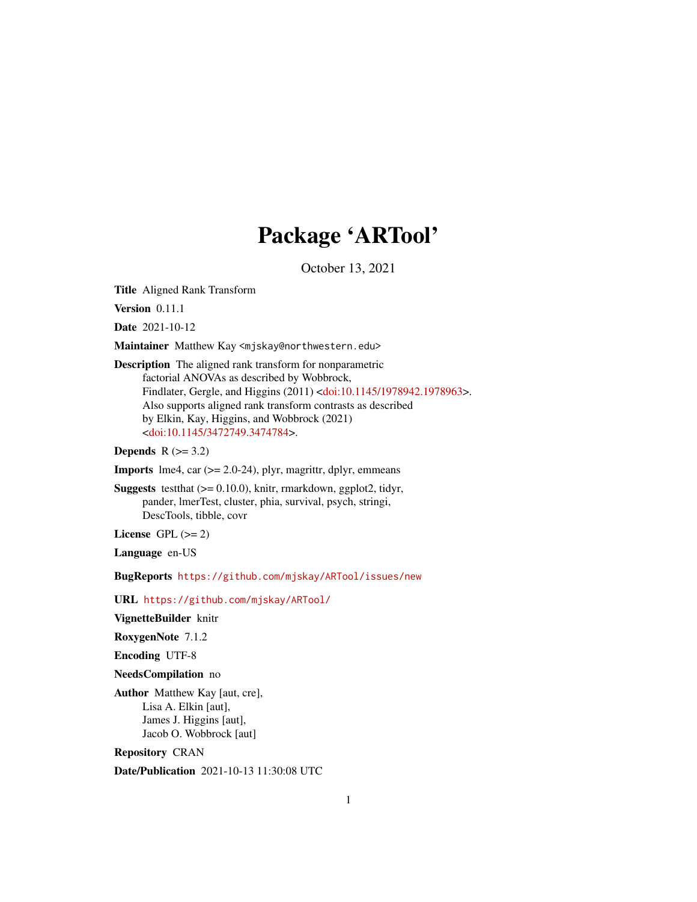# Package 'ARTool'

October 13, 2021

<span id="page-0-0"></span>Title Aligned Rank Transform

Version 0.11.1

Date 2021-10-12

Maintainer Matthew Kay <mjskay@northwestern.edu>

Description The aligned rank transform for nonparametric factorial ANOVAs as described by Wobbrock, Findlater, Gergle, and Higgins (2011) [<doi:10.1145/1978942.1978963>](https://doi.org/10.1145/1978942.1978963). Also supports aligned rank transform contrasts as described by Elkin, Kay, Higgins, and Wobbrock (2021) [<doi:10.1145/3472749.3474784>](https://doi.org/10.1145/3472749.3474784).

Depends  $R$  ( $>= 3.2$ )

**Imports** lme4, car  $(>= 2.0-24)$ , plyr, magrittr, dplyr, emmeans

**Suggests** testthat  $(>= 0.10.0)$ , knitr, rmarkdown, ggplot2, tidyr, pander, lmerTest, cluster, phia, survival, psych, stringi, DescTools, tibble, covr

License GPL  $(>= 2)$ 

Language en-US

BugReports <https://github.com/mjskay/ARTool/issues/new>

URL <https://github.com/mjskay/ARTool/>

VignetteBuilder knitr

RoxygenNote 7.1.2

Encoding UTF-8

NeedsCompilation no

Author Matthew Kay [aut, cre], Lisa A. Elkin [aut], James J. Higgins [aut], Jacob O. Wobbrock [aut]

Repository CRAN

Date/Publication 2021-10-13 11:30:08 UTC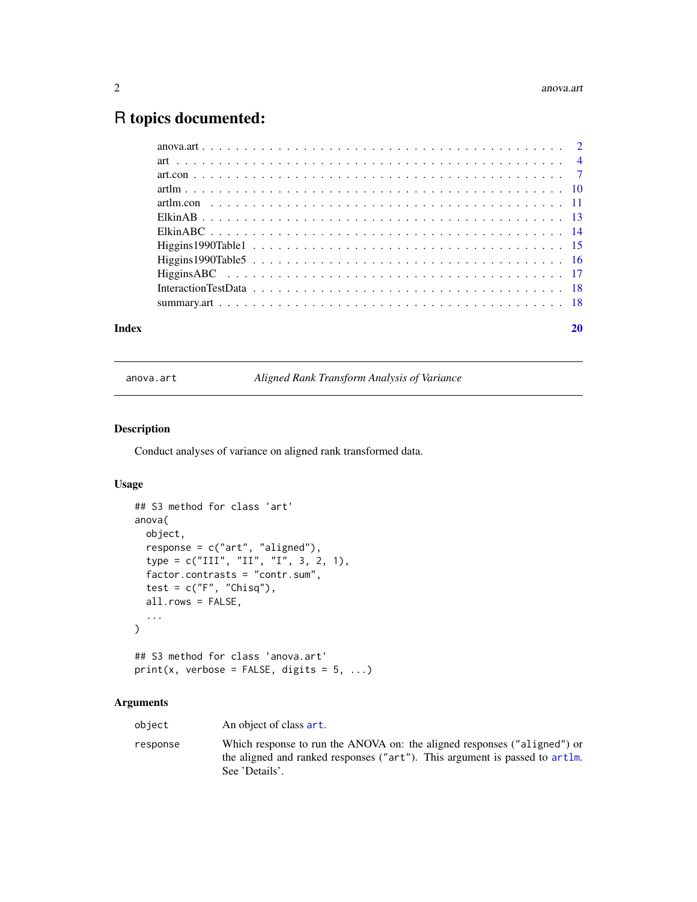# <span id="page-1-0"></span>R topics documented:

| Index |  |
|-------|--|
|       |  |
|       |  |
|       |  |
|       |  |
|       |  |
|       |  |
|       |  |
|       |  |
|       |  |
|       |  |
|       |  |
|       |  |

<span id="page-1-1"></span>anova.art *Aligned Rank Transform Analysis of Variance*

# Description

Conduct analyses of variance on aligned rank transformed data.

# Usage

```
## S3 method for class 'art'
anova(
 object,
 response = c("art", "aligned"),
  type = c("III", "II", "I", 3, 2, 1),factor.contrasts = "contr.sum",
  test = c("F", "Chisq"),all.rows = FALSE,
  ...
\mathcal{L}## S3 method for class 'anova.art'
print(x, verbose = FALSE, digits = 5, ...)
```
# Arguments

| object   | An object of class art.                                                                                                                                                   |
|----------|---------------------------------------------------------------------------------------------------------------------------------------------------------------------------|
| response | Which response to run the ANOVA on: the aligned responses ("aligned") or<br>the aligned and ranked responses ("art"). This argument is passed to artlm.<br>See 'Details'. |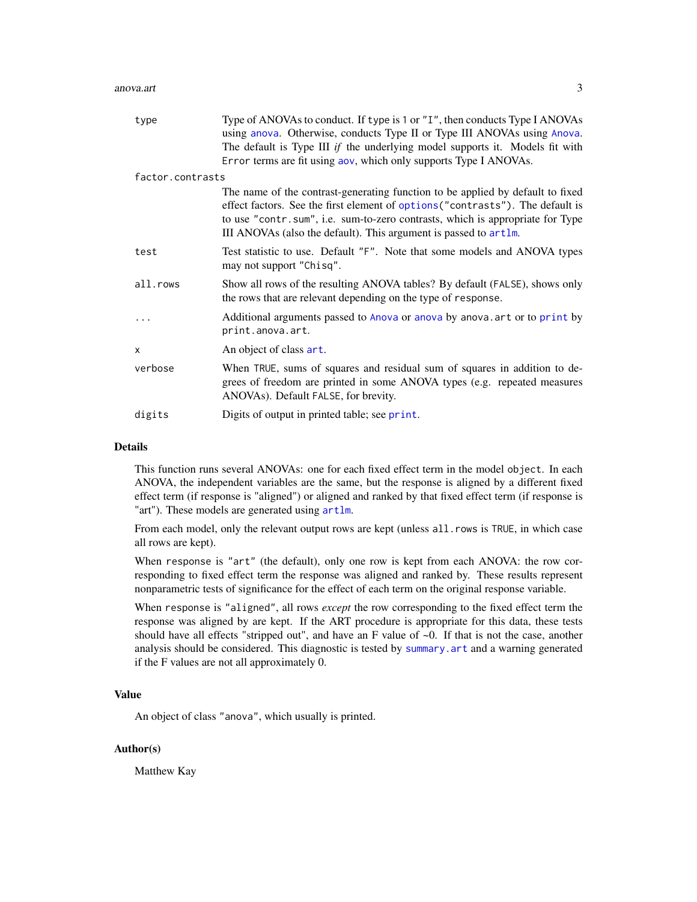<span id="page-2-0"></span>

| type             | Type of ANOVAs to conduct. If type is 1 or "I", then conducts Type I ANOVAs<br>using anova. Otherwise, conducts Type II or Type III ANOVAs using Anova.<br>The default is Type III if the underlying model supports it. Models fit with<br>Error terms are fit using aov, which only supports Type I ANOVAs.          |
|------------------|-----------------------------------------------------------------------------------------------------------------------------------------------------------------------------------------------------------------------------------------------------------------------------------------------------------------------|
| factor.contrasts |                                                                                                                                                                                                                                                                                                                       |
|                  | The name of the contrast-generating function to be applied by default to fixed<br>effect factors. See the first element of options ("contrasts"). The default is<br>to use "contr.sum", i.e. sum-to-zero contrasts, which is appropriate for Type<br>III ANOVAs (also the default). This argument is passed to artlm. |
| test             | Test statistic to use. Default "F". Note that some models and ANOVA types<br>may not support "Chisq".                                                                                                                                                                                                                 |
| all.rows         | Show all rows of the resulting ANOVA tables? By default (FALSE), shows only<br>the rows that are relevant depending on the type of response.                                                                                                                                                                          |
|                  | Additional arguments passed to Anova or anova by anova. art or to print by<br>print.anova.art.                                                                                                                                                                                                                        |
| $\times$         | An object of class art.                                                                                                                                                                                                                                                                                               |
| verbose          | When TRUE, sums of squares and residual sum of squares in addition to de-<br>grees of freedom are printed in some ANOVA types (e.g. repeated measures<br>ANOVAs). Default FALSE, for brevity.                                                                                                                         |
| digits           | Digits of output in printed table; see print.                                                                                                                                                                                                                                                                         |

#### Details

This function runs several ANOVAs: one for each fixed effect term in the model object. In each ANOVA, the independent variables are the same, but the response is aligned by a different fixed effect term (if response is "aligned") or aligned and ranked by that fixed effect term (if response is "art"). These models are generated using  $artlm$ .

From each model, only the relevant output rows are kept (unless all. rows is TRUE, in which case all rows are kept).

When response is "art" (the default), only one row is kept from each ANOVA: the row corresponding to fixed effect term the response was aligned and ranked by. These results represent nonparametric tests of significance for the effect of each term on the original response variable.

When response is "aligned", all rows *except* the row corresponding to the fixed effect term the response was aligned by are kept. If the ART procedure is appropriate for this data, these tests should have all effects "stripped out", and have an F value of  $\sim 0$ . If that is not the case, another analysis should be considered. This diagnostic is tested by [summary.art](#page-17-1) and a warning generated if the F values are not all approximately 0.

# Value

An object of class "anova", which usually is printed.

# Author(s)

Matthew Kay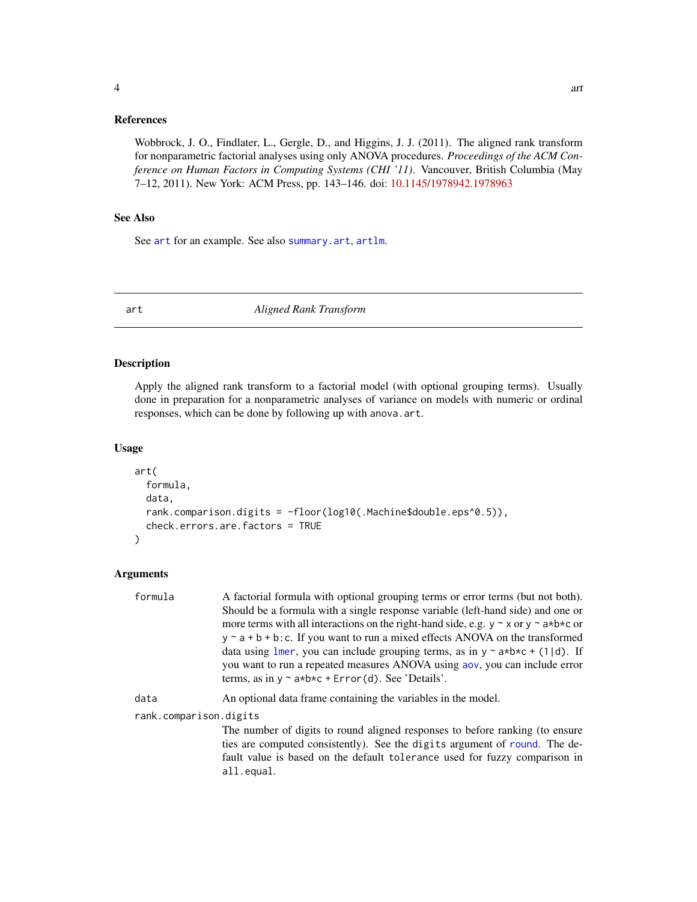# <span id="page-3-0"></span>References

Wobbrock, J. O., Findlater, L., Gergle, D., and Higgins, J. J. (2011). The aligned rank transform for nonparametric factorial analyses using only ANOVA procedures. *Proceedings of the ACM Conference on Human Factors in Computing Systems (CHI '11)*. Vancouver, British Columbia (May 7–12, 2011). New York: ACM Press, pp. 143–146. doi: [10.1145/1978942.1978963](https://doi.org/10.1145/1978942.1978963)

# See Also

See [art](#page-3-1) for an example. See also [summary.art](#page-17-1), [artlm](#page-9-1).

<span id="page-3-1"></span>art *Aligned Rank Transform*

#### Description

Apply the aligned rank transform to a factorial model (with optional grouping terms). Usually done in preparation for a nonparametric analyses of variance on models with numeric or ordinal responses, which can be done by following up with anova.art.

#### Usage

```
art(
  formula,
  data,
  rank.comparison.digits = -floor(log10(.Machine$double.eps^0.5)),
  check.errors.are.factors = TRUE
\mathcal{L}
```
# Arguments

| formula                | A factorial formula with optional grouping terms or error terms (but not both).                                                                                                                                                     |
|------------------------|-------------------------------------------------------------------------------------------------------------------------------------------------------------------------------------------------------------------------------------|
|                        | Should be a formula with a single response variable (left-hand side) and one or                                                                                                                                                     |
|                        | more terms with all interactions on the right-hand side, e.g. $y \sim x$ or $y \sim a * b * c$ or                                                                                                                                   |
|                        | $y \sim a + b + b$ : C. If you want to run a mixed effects ANOVA on the transformed                                                                                                                                                 |
|                        | data using lmer, you can include grouping terms, as in $y \sim a * b * c + (1 d)$ . If<br>you want to run a repeated measures ANOVA using aov, you can include error<br>terms, as in $y \sim a * b * c + Error(d)$ . See 'Details'. |
| data                   | An optional data frame containing the variables in the model.                                                                                                                                                                       |
| rank.comparison.digits |                                                                                                                                                                                                                                     |
|                        | The number of digits to round aligned responses to before ranking (to ensure                                                                                                                                                        |
|                        | ties are computed consistently). See the digits argument of round. The de-                                                                                                                                                          |
|                        | fault value is based on the default tolerance used for fuzzy comparison in                                                                                                                                                          |
|                        | all.equal.                                                                                                                                                                                                                          |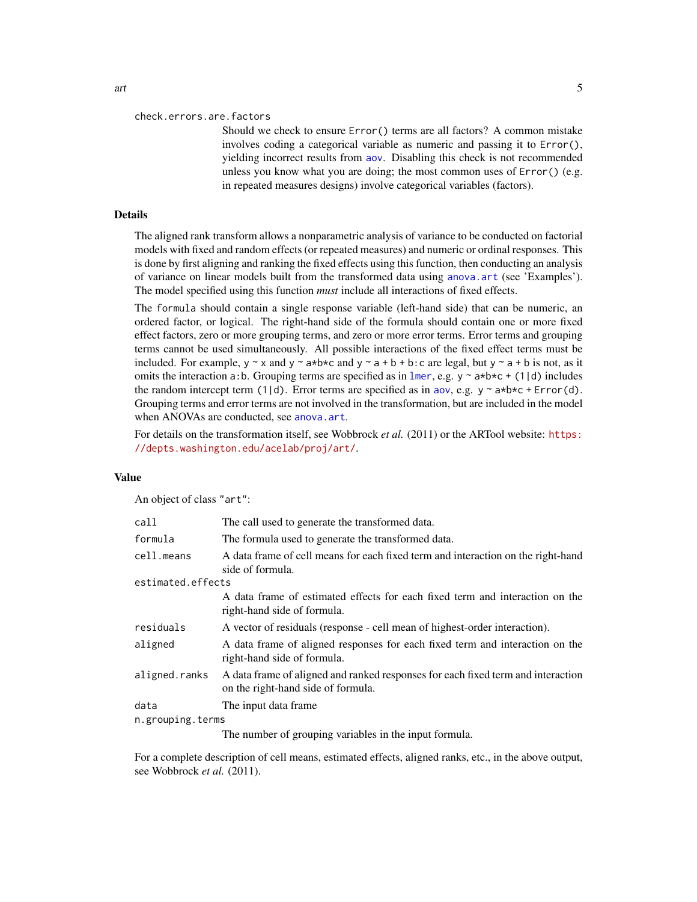<span id="page-4-0"></span>Should we check to ensure Error() terms are all factors? A common mistake involves coding a categorical variable as numeric and passing it to Error(), yielding incorrect results from [aov](#page-0-0). Disabling this check is not recommended unless you know what you are doing; the most common uses of Error() (e.g. in repeated measures designs) involve categorical variables (factors).

# Details

The aligned rank transform allows a nonparametric analysis of variance to be conducted on factorial models with fixed and random effects (or repeated measures) and numeric or ordinal responses. This is done by first aligning and ranking the fixed effects using this function, then conducting an analysis of variance on linear models built from the transformed data using [anova.art](#page-1-1) (see 'Examples'). The model specified using this function *must* include all interactions of fixed effects.

The formula should contain a single response variable (left-hand side) that can be numeric, an ordered factor, or logical. The right-hand side of the formula should contain one or more fixed effect factors, zero or more grouping terms, and zero or more error terms. Error terms and grouping terms cannot be used simultaneously. All possible interactions of the fixed effect terms must be included. For example,  $y \sim x$  and  $y \sim a*b*c$  and  $y \sim a+b+b$ : c are legal, but  $y \sim a+b$  is not, as it omits the interaction a:b. Grouping terms are specified as in [lmer](#page-0-0), e.g.  $y \sim a*b*c + (1|d)$  includes the random intercept term (1|d). Error terms are specified as in [aov](#page-0-0), e.g.  $y \sim a+b \times c + \text{Error}(d)$ . Grouping terms and error terms are not involved in the transformation, but are included in the model when ANOVAs are conducted, see [anova.art](#page-1-1).

For details on the transformation itself, see Wobbrock *et al.* (2011) or the ARTool website: [https:](https://depts.washington.edu/acelab/proj/art/) [//depts.washington.edu/acelab/proj/art/](https://depts.washington.edu/acelab/proj/art/).

#### Value

An object of class "art":

| call              | The call used to generate the transformed data.                                                                        |  |
|-------------------|------------------------------------------------------------------------------------------------------------------------|--|
| formula           | The formula used to generate the transformed data.                                                                     |  |
| cell.means        | A data frame of cell means for each fixed term and interaction on the right-hand<br>side of formula.                   |  |
| estimated.effects |                                                                                                                        |  |
|                   | A data frame of estimated effects for each fixed term and interaction on the<br>right-hand side of formula.            |  |
| residuals         | A vector of residuals (response - cell mean of highest-order interaction).                                             |  |
| aligned           | A data frame of aligned responses for each fixed term and interaction on the<br>right-hand side of formula.            |  |
| aligned.ranks     | A data frame of aligned and ranked responses for each fixed term and interaction<br>on the right-hand side of formula. |  |
| data              | The input data frame.                                                                                                  |  |
| n.grouping.terms  |                                                                                                                        |  |
|                   | The number of grouping variables in the input formula.                                                                 |  |

For a complete description of cell means, estimated effects, aligned ranks, etc., in the above output, see Wobbrock *et al.* (2011).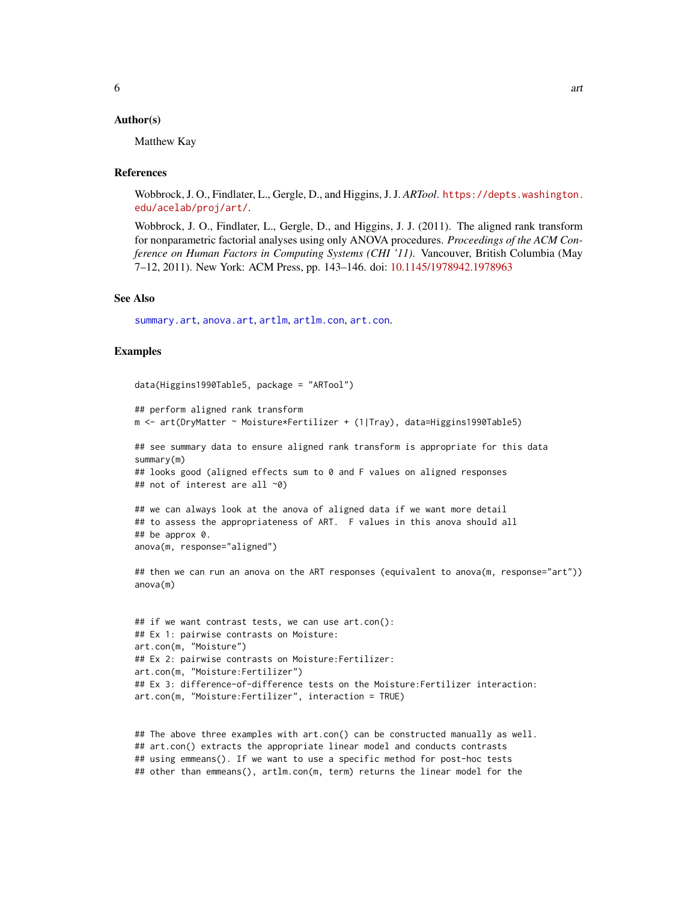# <span id="page-5-0"></span>Author(s)

Matthew Kay

#### **References**

Wobbrock, J. O., Findlater, L., Gergle, D., and Higgins, J. J. *ARTool*. [https://depts.washington.](https://depts.washington.edu/acelab/proj/art/) [edu/acelab/proj/art/](https://depts.washington.edu/acelab/proj/art/).

Wobbrock, J. O., Findlater, L., Gergle, D., and Higgins, J. J. (2011). The aligned rank transform for nonparametric factorial analyses using only ANOVA procedures. *Proceedings of the ACM Conference on Human Factors in Computing Systems (CHI '11)*. Vancouver, British Columbia (May 7–12, 2011). New York: ACM Press, pp. 143–146. doi: [10.1145/1978942.1978963](https://doi.org/10.1145/1978942.1978963)

#### See Also

[summary.art](#page-17-1), [anova.art](#page-1-1), [artlm](#page-9-1), [artlm.con](#page-10-1), [art.con](#page-6-1).

### Examples

```
data(Higgins1990Table5, package = "ARTool")
```

```
## perform aligned rank transform
m <- art(DryMatter ~ Moisture*Fertilizer + (1|Tray), data=Higgins1990Table5)
```
## see summary data to ensure aligned rank transform is appropriate for this data summary(m) ## looks good (aligned effects sum to 0 and F values on aligned responses ## not of interest are all ~0)

```
## we can always look at the anova of aligned data if we want more detail
## to assess the appropriateness of ART. F values in this anova should all
## be approx 0.
anova(m, response="aligned")
```
## then we can run an anova on the ART responses (equivalent to anova(m, response="art")) anova(m)

```
## if we want contrast tests, we can use art.con():
## Ex 1: pairwise contrasts on Moisture:
art.con(m, "Moisture")
## Ex 2: pairwise contrasts on Moisture:Fertilizer:
art.con(m, "Moisture:Fertilizer")
## Ex 3: difference-of-difference tests on the Moisture:Fertilizer interaction:
art.con(m, "Moisture:Fertilizer", interaction = TRUE)
```

```
## The above three examples with art.con() can be constructed manually as well.
## art.con() extracts the appropriate linear model and conducts contrasts
## using emmeans(). If we want to use a specific method for post-hoc tests
## other than emmeans(), artlm.con(m, term) returns the linear model for the
```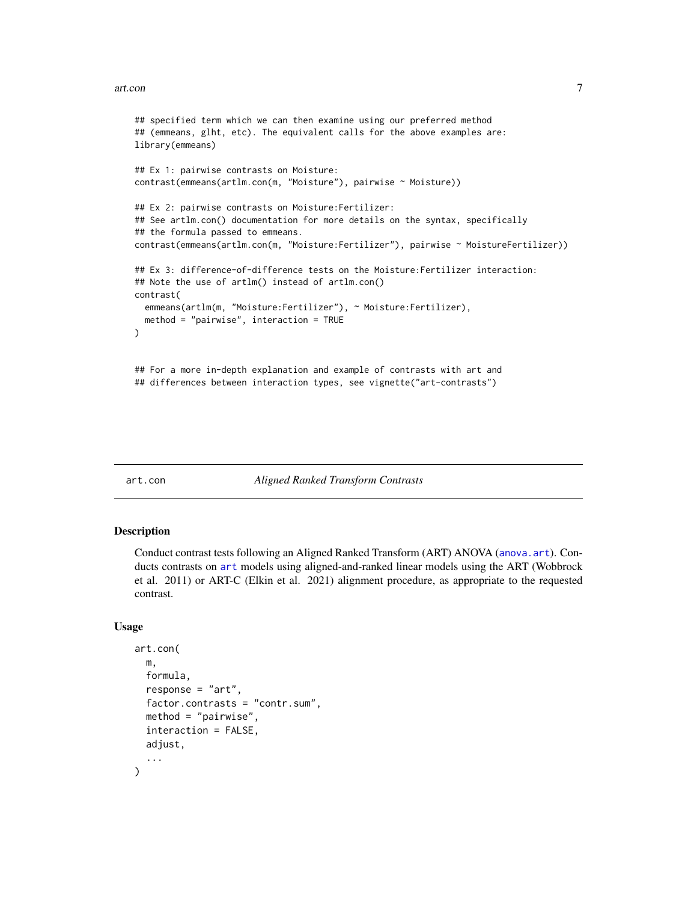#### <span id="page-6-0"></span>art.con 7

```
## specified term which we can then examine using our preferred method
## (emmeans, glht, etc). The equivalent calls for the above examples are:
library(emmeans)
## Ex 1: pairwise contrasts on Moisture:
contrast(emmeans(artlm.con(m, "Moisture"), pairwise ~ Moisture))
## Ex 2: pairwise contrasts on Moisture:Fertilizer:
## See artlm.con() documentation for more details on the syntax, specifically
## the formula passed to emmeans.
contrast(emmeans(artlm.con(m, "Moisture:Fertilizer"), pairwise ~ MoistureFertilizer))
## Ex 3: difference-of-difference tests on the Moisture:Fertilizer interaction:
## Note the use of artlm() instead of artlm.con()
contrast(
 emmeans(artlm(m, "Moisture:Fertilizer"), ~ Moisture:Fertilizer),
 method = "pairwise", interaction = TRUE
\mathcal{L}## For a more in-depth explanation and example of contrasts with art and
## differences between interaction types, see vignette("art-contrasts")
```
#### <span id="page-6-1"></span>art.con *Aligned Ranked Transform Contrasts*

#### Description

Conduct contrast tests following an Aligned Ranked Transform (ART) ANOVA ([anova.art](#page-1-1)). Conducts contrasts on [art](#page-3-1) models using aligned-and-ranked linear models using the ART (Wobbrock et al. 2011) or ART-C (Elkin et al. 2021) alignment procedure, as appropriate to the requested contrast.

#### Usage

```
art.con(
  m,
  formula,
  response = "art",
  factor.contrasts = "contr.sum",
 method = "pairwise",
  interaction = FALSE,
  adjust,
  ...
)
```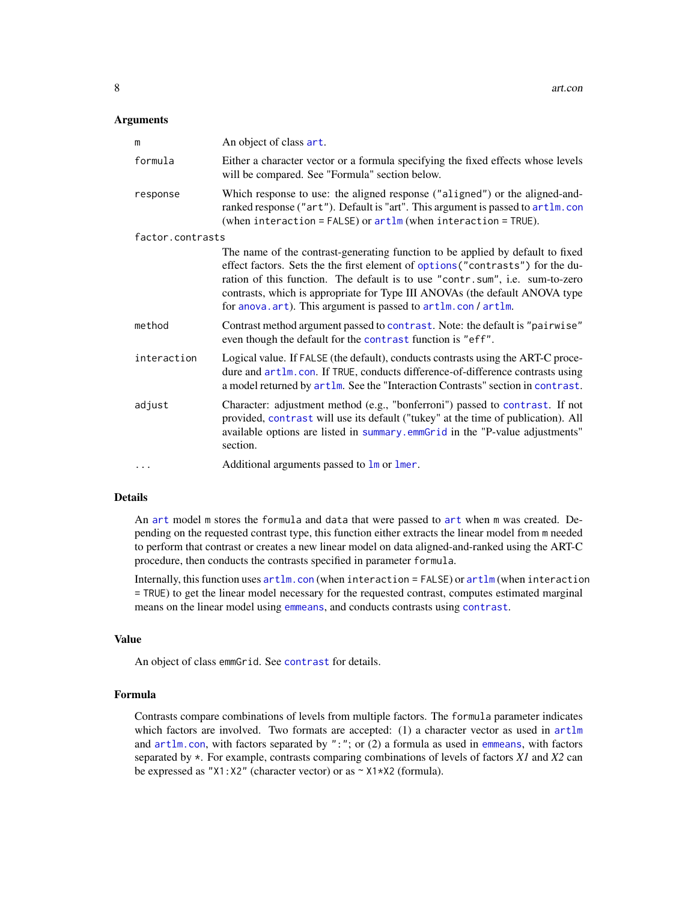### <span id="page-7-0"></span>**Arguments**

| m                | An object of class art.                                                                                                                                                                                                                                                                                                                                                                             |
|------------------|-----------------------------------------------------------------------------------------------------------------------------------------------------------------------------------------------------------------------------------------------------------------------------------------------------------------------------------------------------------------------------------------------------|
| formula          | Either a character vector or a formula specifying the fixed effects whose levels<br>will be compared. See "Formula" section below.                                                                                                                                                                                                                                                                  |
| response         | Which response to use: the aligned response ("aligned") or the aligned-and-<br>ranked response ("art"). Default is "art". This argument is passed to artlm.con<br>(when interaction = $FALSE$ ) or $artlm$ (when interaction = $TRUE$ ).                                                                                                                                                            |
| factor.contrasts |                                                                                                                                                                                                                                                                                                                                                                                                     |
|                  | The name of the contrast-generating function to be applied by default to fixed<br>effect factors. Sets the the first element of options ("contrasts") for the du-<br>ration of this function. The default is to use "contr.sum", i.e. sum-to-zero<br>contrasts, which is appropriate for Type III ANOVAs (the default ANOVA type<br>for anova. art). This argument is passed to artlm. con / artlm. |
| method           | Contrast method argument passed to contrast. Note: the default is "pairwise"<br>even though the default for the contrast function is "eff".                                                                                                                                                                                                                                                         |
| interaction      | Logical value. If FALSE (the default), conducts contrasts using the ART-C proce-<br>dure and artlm.con. If TRUE, conducts difference-of-difference contrasts using<br>a model returned by artlm. See the "Interaction Contrasts" section in contrast.                                                                                                                                               |
| adjust           | Character: adjustment method (e.g., "bonferroni") passed to contrast. If not<br>provided, contrast will use its default ("tukey" at the time of publication). All<br>available options are listed in summary.emmGrid in the "P-value adjustments"<br>section.                                                                                                                                       |
| $\cdots$         | Additional arguments passed to 1m or 1mer.                                                                                                                                                                                                                                                                                                                                                          |

#### Details

An [art](#page-3-1) model m stores the formula and data that were passed to [art](#page-3-1) when m was created. Depending on the requested contrast type, this function either extracts the linear model from m needed to perform that contrast or creates a new linear model on data aligned-and-ranked using the ART-C procedure, then conducts the contrasts specified in parameter formula.

Internally, this function uses [artlm.con](#page-10-1) (when interaction = FALSE) or [artlm](#page-9-1) (when interaction = TRUE) to get the linear model necessary for the requested contrast, computes estimated marginal means on the linear model using [emmeans](#page-0-0), and conducts [contrast](#page-0-0)s using contrast.

#### Value

An object of class emmGrid. See [contrast](#page-0-0) for details.

# Formula

Contrasts compare combinations of levels from multiple factors. The formula parameter indicates which factors are involved. Two formats are accepted:  $(1)$  a character vector as used in  $artlm$ and  $artlm.com$ , with factors separated by ": "; or (2) a formula as used in [emmeans](#page-0-0), with factors separated by \*. For example, contrasts comparing combinations of levels of factors *X1* and *X2* can be expressed as "X1:X2" (character vector) or as ~ X1\*X2 (formula).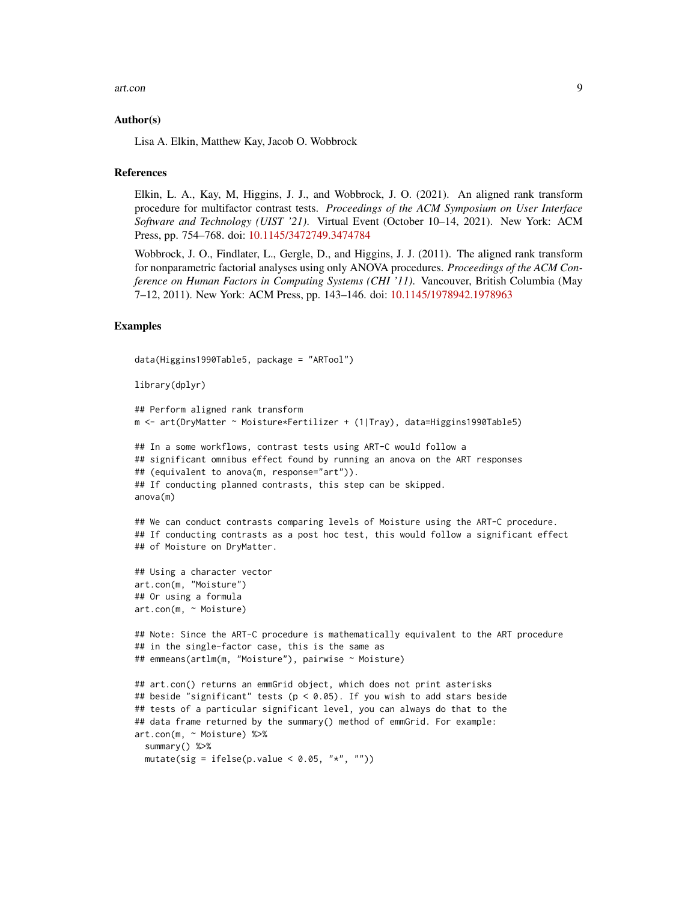#### art.con 9

#### Author(s)

Lisa A. Elkin, Matthew Kay, Jacob O. Wobbrock

#### References

Elkin, L. A., Kay, M, Higgins, J. J., and Wobbrock, J. O. (2021). An aligned rank transform procedure for multifactor contrast tests. *Proceedings of the ACM Symposium on User Interface Software and Technology (UIST '21)*. Virtual Event (October 10–14, 2021). New York: ACM Press, pp. 754–768. doi: [10.1145/3472749.3474784](https://doi.org/10.1145/3472749.3474784)

Wobbrock, J. O., Findlater, L., Gergle, D., and Higgins, J. J. (2011). The aligned rank transform for nonparametric factorial analyses using only ANOVA procedures. *Proceedings of the ACM Conference on Human Factors in Computing Systems (CHI '11)*. Vancouver, British Columbia (May 7–12, 2011). New York: ACM Press, pp. 143–146. doi: [10.1145/1978942.1978963](https://doi.org/10.1145/1978942.1978963)

# Examples

```
data(Higgins1990Table5, package = "ARTool")
```

```
library(dplyr)
```

```
## Perform aligned rank transform
m <- art(DryMatter ~ Moisture*Fertilizer + (1|Tray), data=Higgins1990Table5)
## In a some workflows, contrast tests using ART-C would follow a
## significant omnibus effect found by running an anova on the ART responses
## (equivalent to anova(m, response="art")).
## If conducting planned contrasts, this step can be skipped.
anova(m)
## We can conduct contrasts comparing levels of Moisture using the ART-C procedure.
## If conducting contrasts as a post hoc test, this would follow a significant effect
## of Moisture on DryMatter.
## Using a character vector
art.con(m, "Moisture")
## Or using a formula
art.con(m, ~ Moisture)
## Note: Since the ART-C procedure is mathematically equivalent to the ART procedure
## in the single-factor case, this is the same as
## emmeans(artlm(m, "Moisture"), pairwise ~ Moisture)
## art.con() returns an emmGrid object, which does not print asterisks
## beside "significant" tests (p < 0.05). If you wish to add stars beside
## tests of a particular significant level, you can always do that to the
## data frame returned by the summary() method of emmGrid. For example:
art.con(m, ~ Moisture) %>%
 summary() %>%
 mutate(sig = ifelse(p.value < 0.05, "*", ""))
```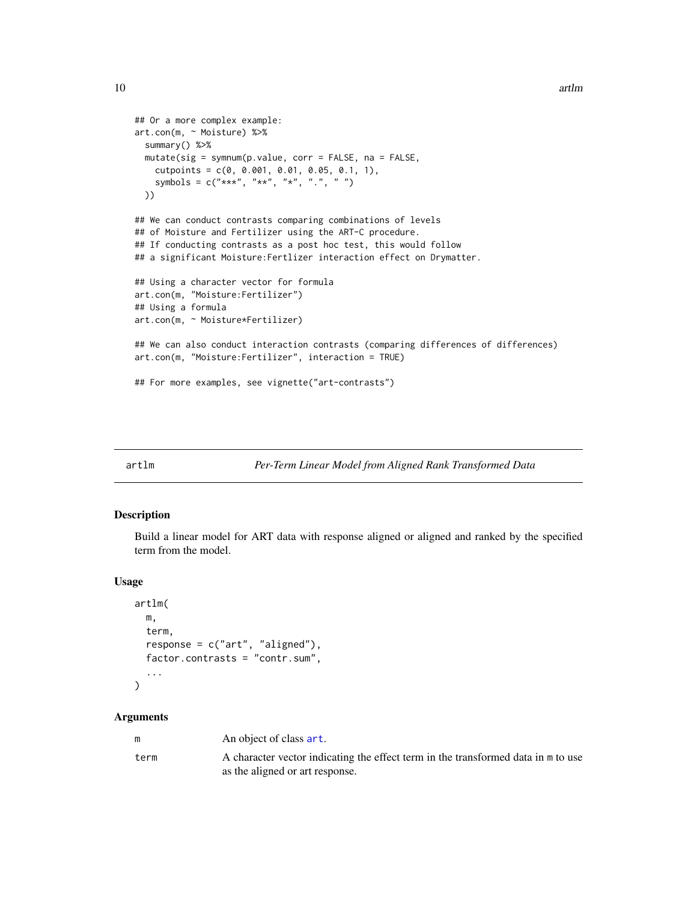```
## Or a more complex example:
art.con(m, ~ Moisture) %>%
 summary() %>%
 mutate(sig = symnum(p.value, corr = FALSE, na = FALSE,
   cutpoints = c(0, 0.001, 0.01, 0.05, 0.1, 1),
   symbols = c("***", "**", "*", "..", " "")))
## We can conduct contrasts comparing combinations of levels
## of Moisture and Fertilizer using the ART-C procedure.
## If conducting contrasts as a post hoc test, this would follow
## a significant Moisture:Fertlizer interaction effect on Drymatter.
## Using a character vector for formula
art.con(m, "Moisture:Fertilizer")
## Using a formula
art.con(m, ~ Moisture*Fertilizer)
## We can also conduct interaction contrasts (comparing differences of differences)
art.con(m, "Moisture:Fertilizer", interaction = TRUE)
## For more examples, see vignette("art-contrasts")
```
<span id="page-9-1"></span>

#### artlm *Per-Term Linear Model from Aligned Rank Transformed Data*

# Description

Build a linear model for ART data with response aligned or aligned and ranked by the specified term from the model.

#### Usage

```
artlm(
 m,
  term,
  response = c("art", "aligned"),
  factor.contrasts = "contr.sum",
  ...
)
```
#### Arguments

|      | An object of class art.                                                           |
|------|-----------------------------------------------------------------------------------|
| term | A character vector indicating the effect term in the transformed data in m to use |
|      | as the aligned or art response.                                                   |

<span id="page-9-0"></span>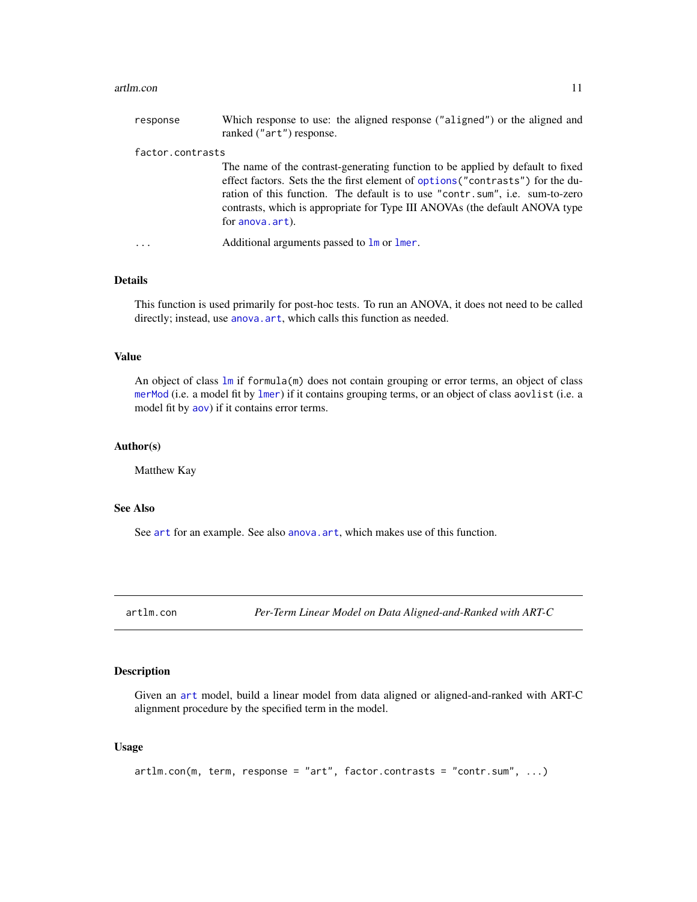#### <span id="page-10-0"></span>artlm.con 11

| response         | Which response to use: the aligned response ("aligned") or the aligned and<br>ranked ("art") response.                                                                                                                                                                                                                                              |
|------------------|-----------------------------------------------------------------------------------------------------------------------------------------------------------------------------------------------------------------------------------------------------------------------------------------------------------------------------------------------------|
| factor.contrasts |                                                                                                                                                                                                                                                                                                                                                     |
|                  | The name of the contrast-generating function to be applied by default to fixed<br>effect factors. Sets the the first element of options ("contrasts") for the du-<br>ration of this function. The default is to use "contr.sum", i.e. sum-to-zero<br>contrasts, which is appropriate for Type III ANOVAs (the default ANOVA type<br>for anova.art). |
| $\ddotsc$        | Additional arguments passed to 1m or 1mer.                                                                                                                                                                                                                                                                                                          |

# Details

This function is used primarily for post-hoc tests. To run an ANOVA, it does not need to be called directly; instead, use [anova.art](#page-1-1), which calls this function as needed.

# Value

An object of class [lm](#page-0-0) if formula(m) does not contain grouping or error terms, an object of class [merMod](#page-0-0) (i.e. a model fit by [lmer](#page-0-0)) if it contains grouping terms, or an object of class aovlist (i.e. a model fit by [aov](#page-0-0)) if it contains error terms.

# Author(s)

Matthew Kay

# See Also

See [art](#page-3-1) for an example. See also [anova.art](#page-1-1), which makes use of this function.

<span id="page-10-1"></span>artlm.con *Per-Term Linear Model on Data Aligned-and-Ranked with ART-C*

# Description

Given an [art](#page-3-1) model, build a linear model from data aligned or aligned-and-ranked with ART-C alignment procedure by the specified term in the model.

#### Usage

```
artlm.com(m, term, response = "art", factor. contrasts = "contr.sum", ...)
```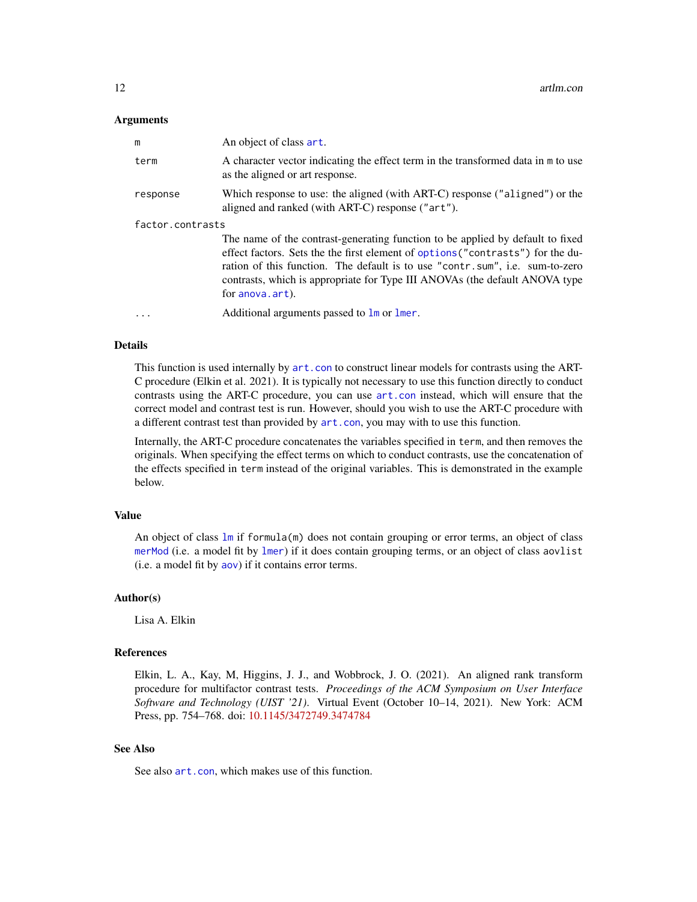#### <span id="page-11-0"></span>**Arguments**

| m                | An object of class art.                                                                                                                                                                                                                                                                                                                              |
|------------------|------------------------------------------------------------------------------------------------------------------------------------------------------------------------------------------------------------------------------------------------------------------------------------------------------------------------------------------------------|
| term             | A character vector indicating the effect term in the transformed data in m to use<br>as the aligned or art response.                                                                                                                                                                                                                                 |
| response         | Which response to use: the aligned (with ART-C) response ("aligned") or the<br>aligned and ranked (with ART-C) response ("art").                                                                                                                                                                                                                     |
| factor.contrasts |                                                                                                                                                                                                                                                                                                                                                      |
|                  | The name of the contrast-generating function to be applied by default to fixed<br>effect factors. Sets the the first element of options ("contrasts") for the du-<br>ration of this function. The default is to use "contr. sum", i.e. sum-to-zero<br>contrasts, which is appropriate for Type III ANOVAs (the default ANOVA type<br>for anova.art). |
| $\ddotsc$        | Additional arguments passed to 1m or 1mer.                                                                                                                                                                                                                                                                                                           |

# Details

This function is used internally by [art.con](#page-6-1) to construct linear models for contrasts using the ART-C procedure (Elkin et al. 2021). It is typically not necessary to use this function directly to conduct contrasts using the ART-C procedure, you can use [art.con](#page-6-1) instead, which will ensure that the correct model and contrast test is run. However, should you wish to use the ART-C procedure with a different contrast test than provided by  $art.com$ , you may with to use this function.

Internally, the ART-C procedure concatenates the variables specified in term, and then removes the originals. When specifying the effect terms on which to conduct contrasts, use the concatenation of the effects specified in term instead of the original variables. This is demonstrated in the example below.

### Value

An object of class [lm](#page-0-0) if formula(m) does not contain grouping or error terms, an object of class [merMod](#page-0-0) (i.e. a model fit by [lmer](#page-0-0)) if it does contain grouping terms, or an object of class aovlist (i.e. a model fit by [aov](#page-0-0)) if it contains error terms.

#### Author(s)

Lisa A. Elkin

# References

Elkin, L. A., Kay, M, Higgins, J. J., and Wobbrock, J. O. (2021). An aligned rank transform procedure for multifactor contrast tests. *Proceedings of the ACM Symposium on User Interface Software and Technology (UIST '21)*. Virtual Event (October 10–14, 2021). New York: ACM Press, pp. 754–768. doi: [10.1145/3472749.3474784](https://doi.org/10.1145/3472749.3474784)

# See Also

See also [art.con](#page-6-1), which makes use of this function.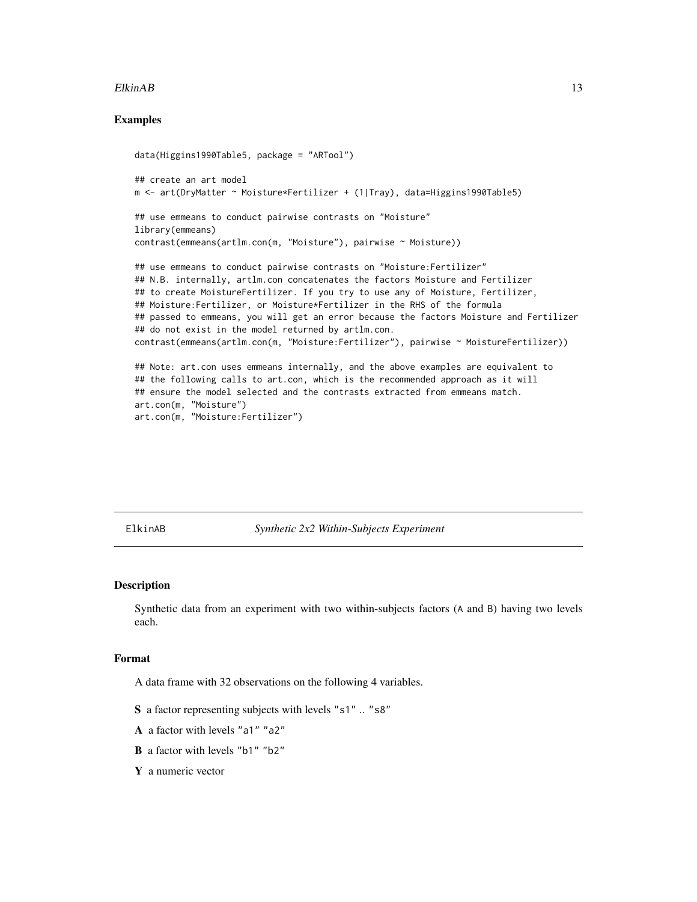#### <span id="page-12-0"></span>ElkinAB 13

# Examples

```
data(Higgins1990Table5, package = "ARTool")
## create an art model
m <- art(DryMatter ~ Moisture*Fertilizer + (1|Tray), data=Higgins1990Table5)
## use emmeans to conduct pairwise contrasts on "Moisture"
library(emmeans)
contrast(emmeans(artlm.con(m, "Moisture"), pairwise ~ Moisture))
## use emmeans to conduct pairwise contrasts on "Moisture:Fertilizer"
## N.B. internally, artlm.con concatenates the factors Moisture and Fertilizer
## to create MoistureFertilizer. If you try to use any of Moisture, Fertilizer,
## Moisture:Fertilizer, or Moisture*Fertilizer in the RHS of the formula
## passed to emmeans, you will get an error because the factors Moisture and Fertilizer
## do not exist in the model returned by artlm.con.
contrast(emmeans(artlm.con(m, "Moisture:Fertilizer"), pairwise ~ MoistureFertilizer))
## Note: art.con uses emmeans internally, and the above examples are equivalent to
## the following calls to art.con, which is the recommended approach as it will
## ensure the model selected and the contrasts extracted from emmeans match.
art.con(m, "Moisture")
```
art.con(m, "Moisture:Fertilizer")

ElkinAB *Synthetic 2x2 Within-Subjects Experiment*

### **Description**

Synthetic data from an experiment with two within-subjects factors (A and B) having two levels each.

# Format

A data frame with 32 observations on the following 4 variables.

- S a factor representing subjects with levels "s1" .. "s8"
- A a factor with levels "a1" "a2"
- B a factor with levels "b1" "b2"
- Y a numeric vector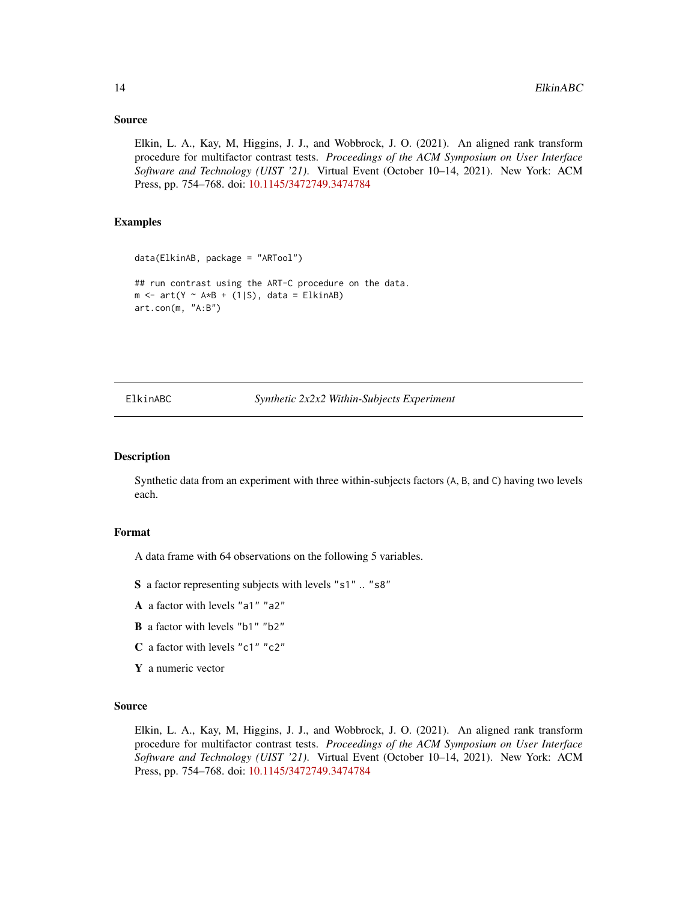### Source

Elkin, L. A., Kay, M, Higgins, J. J., and Wobbrock, J. O. (2021). An aligned rank transform procedure for multifactor contrast tests. *Proceedings of the ACM Symposium on User Interface Software and Technology (UIST '21)*. Virtual Event (October 10–14, 2021). New York: ACM Press, pp. 754–768. doi: [10.1145/3472749.3474784](https://doi.org/10.1145/3472749.3474784)

# Examples

```
data(ElkinAB, package = "ARTool")
## run contrast using the ART-C procedure on the data.
m \le -arct(Y \sim AxB + (1|S), data = ElkinAB)art.con(m, "A:B")
```
ElkinABC *Synthetic 2x2x2 Within-Subjects Experiment*

#### Description

Synthetic data from an experiment with three within-subjects factors (A, B, and C) having two levels each.

# Format

A data frame with 64 observations on the following 5 variables.

S a factor representing subjects with levels "s1" .. "s8"

- A a factor with levels "a1" "a2"
- B a factor with levels "b1" "b2"
- C a factor with levels "c1" "c2"
- Y a numeric vector

#### Source

Elkin, L. A., Kay, M, Higgins, J. J., and Wobbrock, J. O. (2021). An aligned rank transform procedure for multifactor contrast tests. *Proceedings of the ACM Symposium on User Interface Software and Technology (UIST '21)*. Virtual Event (October 10–14, 2021). New York: ACM Press, pp. 754–768. doi: [10.1145/3472749.3474784](https://doi.org/10.1145/3472749.3474784)

<span id="page-13-0"></span>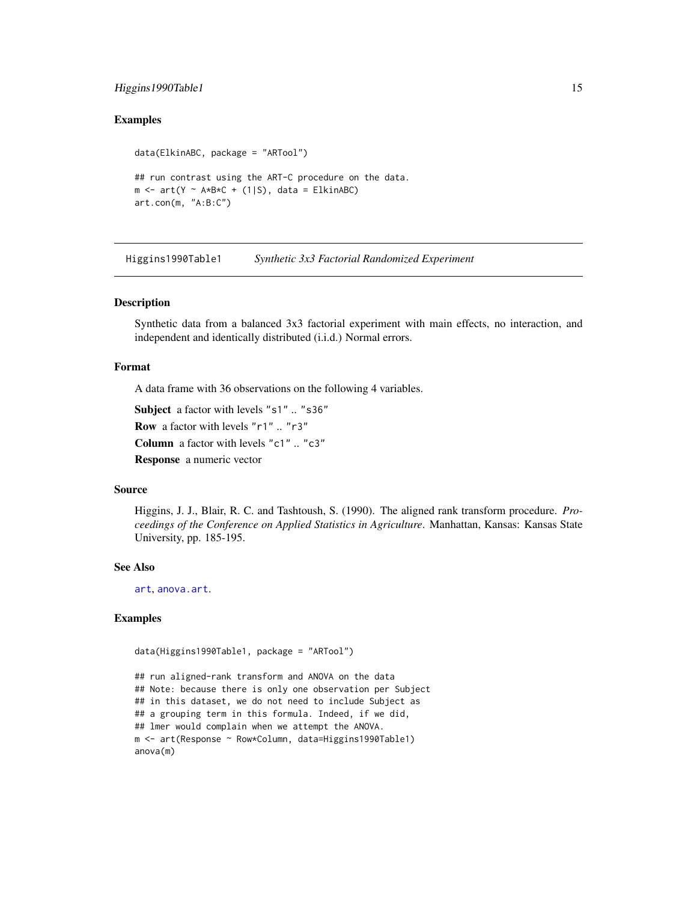# <span id="page-14-0"></span>Higgins1990Table1 15

# Examples

```
data(ElkinABC, package = "ARTool")
## run contrast using the ART-C procedure on the data.
m \le -arct(Y - A*B*C + (1|S), data = ElkinABC)
art.con(m, "A:B:C")
```
Higgins1990Table1 *Synthetic 3x3 Factorial Randomized Experiment*

#### Description

Synthetic data from a balanced 3x3 factorial experiment with main effects, no interaction, and independent and identically distributed (i.i.d.) Normal errors.

#### Format

A data frame with 36 observations on the following 4 variables.

Subject a factor with levels "s1" .. "s36"

Row a factor with levels "r1" .. "r3"

Column a factor with levels "c1" .. "c3"

Response a numeric vector

#### Source

Higgins, J. J., Blair, R. C. and Tashtoush, S. (1990). The aligned rank transform procedure. *Proceedings of the Conference on Applied Statistics in Agriculture*. Manhattan, Kansas: Kansas State University, pp. 185-195.

#### See Also

[art](#page-3-1), [anova.art](#page-1-1).

# Examples

```
data(Higgins1990Table1, package = "ARTool")
```
## run aligned-rank transform and ANOVA on the data ## Note: because there is only one observation per Subject ## in this dataset, we do not need to include Subject as ## a grouping term in this formula. Indeed, if we did, ## lmer would complain when we attempt the ANOVA. m <- art(Response ~ Row\*Column, data=Higgins1990Table1) anova(m)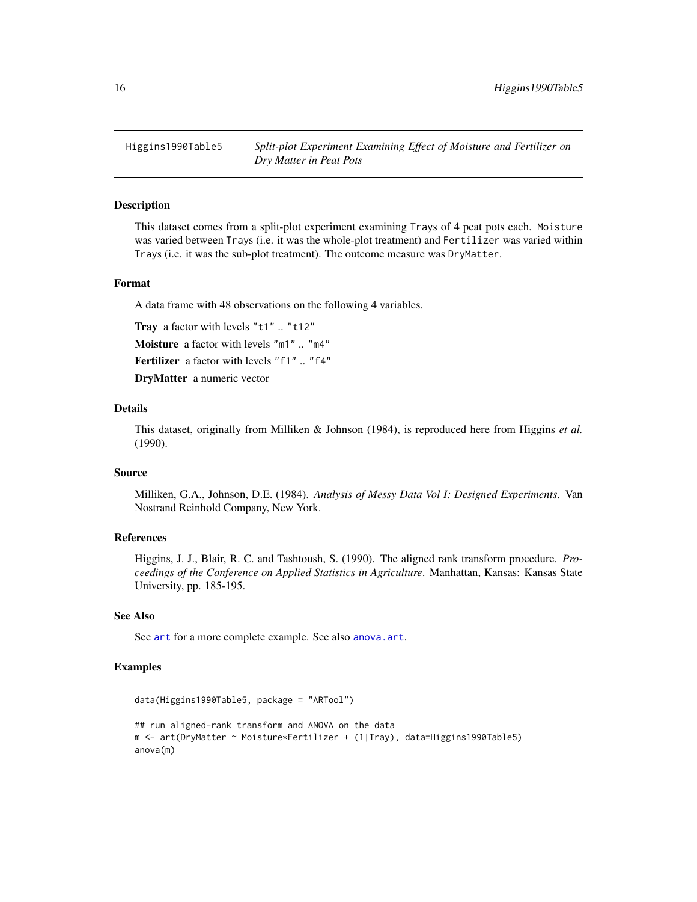<span id="page-15-0"></span>Higgins1990Table5 *Split-plot Experiment Examining Effect of Moisture and Fertilizer on Dry Matter in Peat Pots*

# Description

This dataset comes from a split-plot experiment examining Trays of 4 peat pots each. Moisture was varied between Trays (i.e. it was the whole-plot treatment) and Fertilizer was varied within Trays (i.e. it was the sub-plot treatment). The outcome measure was DryMatter.

# Format

A data frame with 48 observations on the following 4 variables.

Tray a factor with levels "t1" .. "t12" Moisture a factor with levels "m1" .. "m4"

Fertilizer a factor with levels "f1" .. "f4"

DryMatter a numeric vector

### Details

This dataset, originally from Milliken & Johnson (1984), is reproduced here from Higgins *et al.* (1990).

#### Source

Milliken, G.A., Johnson, D.E. (1984). *Analysis of Messy Data Vol I: Designed Experiments*. Van Nostrand Reinhold Company, New York.

# References

Higgins, J. J., Blair, R. C. and Tashtoush, S. (1990). The aligned rank transform procedure. *Proceedings of the Conference on Applied Statistics in Agriculture*. Manhattan, Kansas: Kansas State University, pp. 185-195.

#### See Also

See [art](#page-3-1) for a more complete example. See also [anova.art](#page-1-1).

# Examples

```
data(Higgins1990Table5, package = "ARTool")
## run aligned-rank transform and ANOVA on the data
m <- art(DryMatter ~ Moisture*Fertilizer + (1|Tray), data=Higgins1990Table5)
anova(m)
```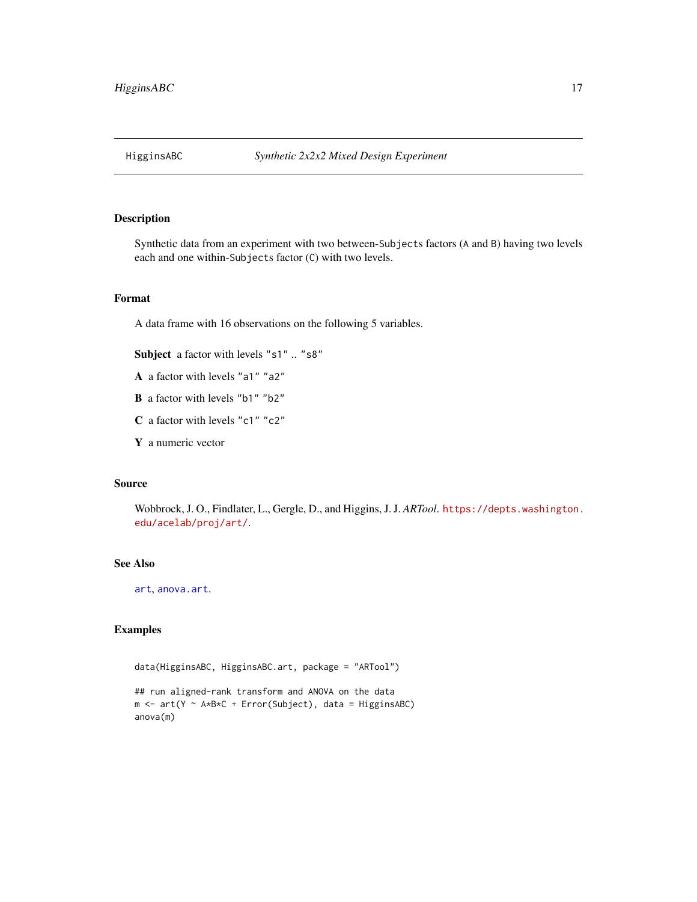<span id="page-16-0"></span>

# Description

Synthetic data from an experiment with two between-Subjects factors (A and B) having two levels each and one within-Subjects factor (C) with two levels.

# Format

A data frame with 16 observations on the following 5 variables.

Subject a factor with levels "s1" .. "s8"

- A a factor with levels "a1" "a2"
- B a factor with levels "b1" "b2"
- C a factor with levels "c1" "c2"
- Y a numeric vector

#### Source

Wobbrock, J. O., Findlater, L., Gergle, D., and Higgins, J. J. *ARTool*. [https://depts.washington.](https://depts.washington.edu/acelab/proj/art/) [edu/acelab/proj/art/](https://depts.washington.edu/acelab/proj/art/).

# See Also

[art](#page-3-1), [anova.art](#page-1-1).

# Examples

data(HigginsABC, HigginsABC.art, package = "ARTool")

```
## run aligned-rank transform and ANOVA on the data
m \le -arct(Y \sim A*B*C + Error(Subject), data = HiggsinsABC)anova(m)
```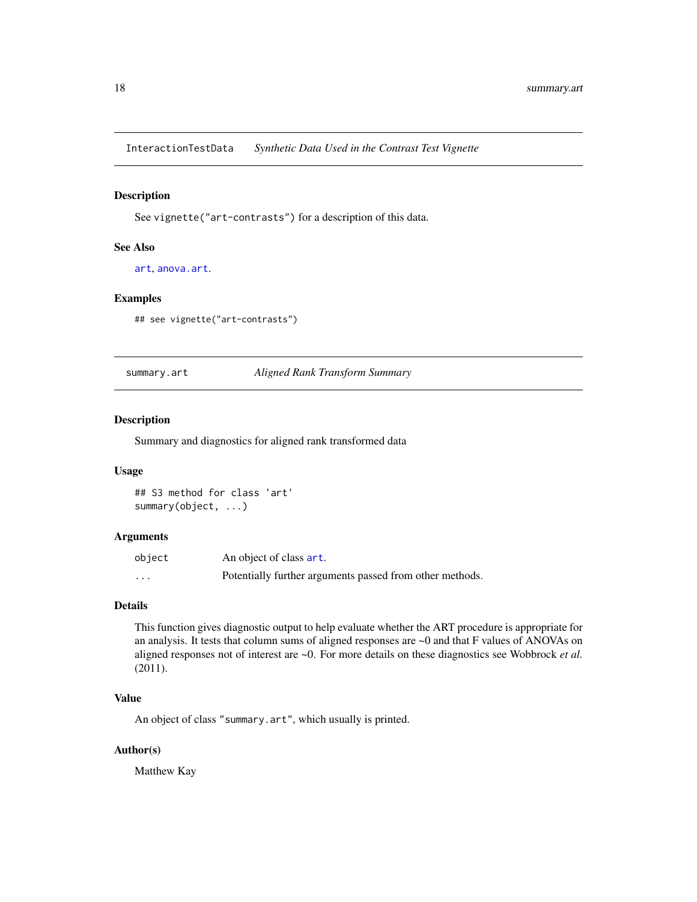<span id="page-17-0"></span>InteractionTestData *Synthetic Data Used in the Contrast Test Vignette*

# Description

See vignette("art-contrasts") for a description of this data.

# See Also

[art](#page-3-1), [anova.art](#page-1-1).

#### Examples

## see vignette("art-contrasts")

<span id="page-17-1"></span>summary.art *Aligned Rank Transform Summary*

# Description

Summary and diagnostics for aligned rank transformed data

#### Usage

## S3 method for class 'art' summary(object, ...)

# Arguments

| object | An object of class art.                                  |
|--------|----------------------------------------------------------|
| .      | Potentially further arguments passed from other methods. |

# Details

This function gives diagnostic output to help evaluate whether the ART procedure is appropriate for an analysis. It tests that column sums of aligned responses are ~0 and that F values of ANOVAs on aligned responses not of interest are ~0. For more details on these diagnostics see Wobbrock *et al.* (2011).

# Value

An object of class "summary.art", which usually is printed.

# Author(s)

Matthew Kay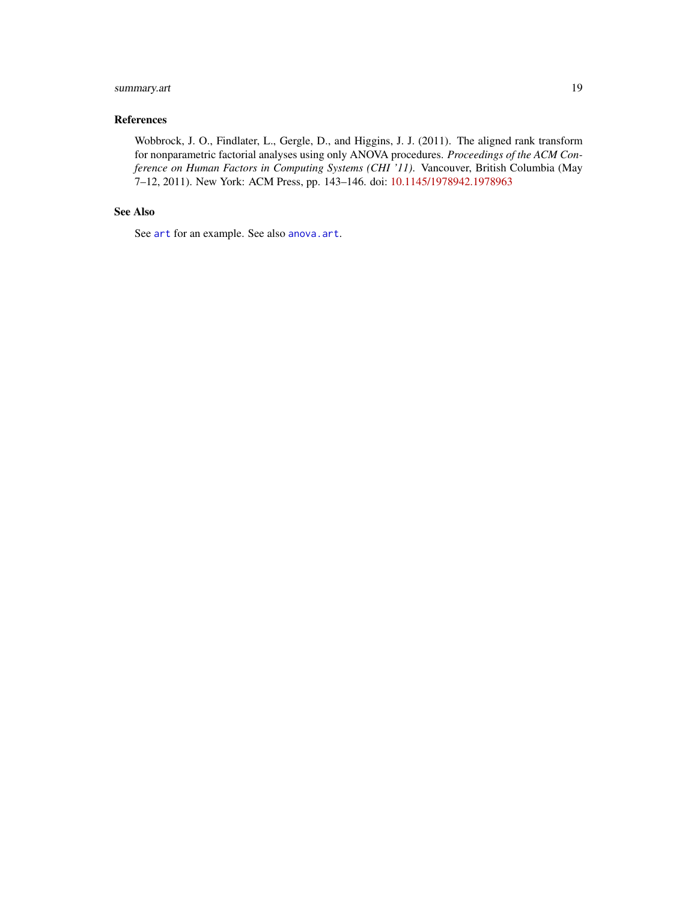# <span id="page-18-0"></span>summary.art 19

# References

Wobbrock, J. O., Findlater, L., Gergle, D., and Higgins, J. J. (2011). The aligned rank transform for nonparametric factorial analyses using only ANOVA procedures. *Proceedings of the ACM Conference on Human Factors in Computing Systems (CHI '11)*. Vancouver, British Columbia (May 7–12, 2011). New York: ACM Press, pp. 143–146. doi: [10.1145/1978942.1978963](https://doi.org/10.1145/1978942.1978963)

# See Also

See [art](#page-3-1) for an example. See also [anova.art](#page-1-1).